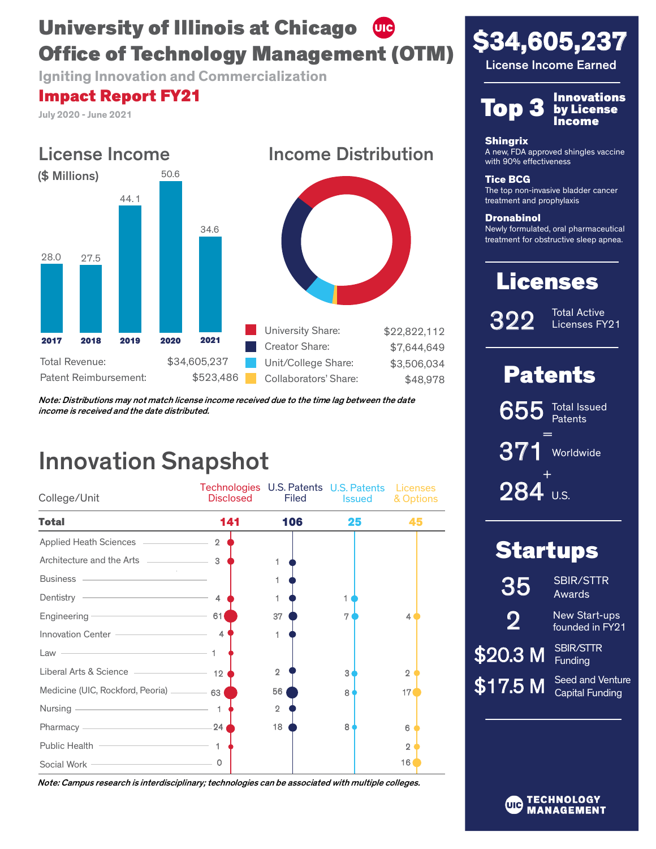## University of Illinois at Chicago (UIC) Office of Technology Management (OTM)

**Igniting Innovation and Commercialization**

## Impact Report FY21

**July 2020 - June 2021**



Note: Distributions may not match license income received due to the time lag between the date income is received and the date distributed.

# Innovation Snapshot

| College/Unit                                                                                                                                                                                                                         | Technologies U.S. Patents U.S. Patents Licenses<br>Disclosed | <b>Filed</b>   | Issued | & Options      |
|--------------------------------------------------------------------------------------------------------------------------------------------------------------------------------------------------------------------------------------|--------------------------------------------------------------|----------------|--------|----------------|
| <b>Total</b>                                                                                                                                                                                                                         | 141                                                          | 106            | 25     | 45             |
| Applied Heath Sciences _____________                                                                                                                                                                                                 | $\mathfrak{D}$                                               |                |        |                |
|                                                                                                                                                                                                                                      |                                                              |                |        |                |
| Business — <b>Contract Contract Contract Contract Contract Contract Contract Contract Contract Contract Contract Contract Contract Contract Contract Contract Contract Contract Contract Contract Contract Contract Contract Con</b> |                                                              |                |        |                |
| Dentistry – 4                                                                                                                                                                                                                        |                                                              |                |        |                |
| Engineering <u>engineering</u>                                                                                                                                                                                                       | 61                                                           | 37             |        | 4              |
| Innovation Center - The Context of The Context of The Context of The Context of The Context of The Context of The Context of The Context of The Context of The Context of The Context of The Context of The Context of The Con       | $\overline{4}$                                               | 1              |        |                |
| the contract of the contract of the contract of the contract of the contract of<br>Law                                                                                                                                               |                                                              |                |        |                |
|                                                                                                                                                                                                                                      |                                                              | $\overline{2}$ | 3      | $\overline{2}$ |
| Medicine (UIC, Rockford, Peoria) _________ 63                                                                                                                                                                                        |                                                              | 56             | 8      | 17             |
| Nursing <u>_____________________________</u>                                                                                                                                                                                         | $\mathbf{1}$                                                 | $\overline{2}$ |        |                |
| Pharmacy <u>- Pharmacy</u>                                                                                                                                                                                                           | $-24$                                                        | 18             | 8      | 6              |
| Public Health                                                                                                                                                                                                                        |                                                              |                |        | $\overline{2}$ |
| Social Work – Contract of the Contract of the Social Work – Contract of the Contract of the Contract of the Contract of the Contract of the Contract of the Contract of the Contract of the Contract of the Contract of the Co       | 0                                                            |                |        | 16             |

Note: Campus research is interdisciplinary; technologies can be associated with multiple colleges.





by License Income

#### **Shingrix**

A new, FDA approved shingles vaccine with 90% effectiveness

Tice BCG

The top non-invasive bladder cancer treatment and prophylaxis

**Dronabinol** 

Newly formulated, oral pharmaceutical treatment for obstructive sleep apnea.

# Licenses

322

Total Active Licenses FY21

## Patents

= 655 371 Worldwide Total Issued **Patents** 

U.S. + 284

 $\boldsymbol{3}$ 

 $\boldsymbol{\mathsf{S}}$ 

| <b>Startups</b>     |                                              |  |  |
|---------------------|----------------------------------------------|--|--|
| 35                  | <b>SBIR/STTR</b><br>Awards                   |  |  |
| 9                   | New Start-ups<br>founded in FY <sub>21</sub> |  |  |
| $2\overline{0.3}$ M | <b>SBIR/STTR</b><br>Funding                  |  |  |
| 17.5 M              | Seed and Venture<br><b>Capital Funding</b>   |  |  |
|                     |                                              |  |  |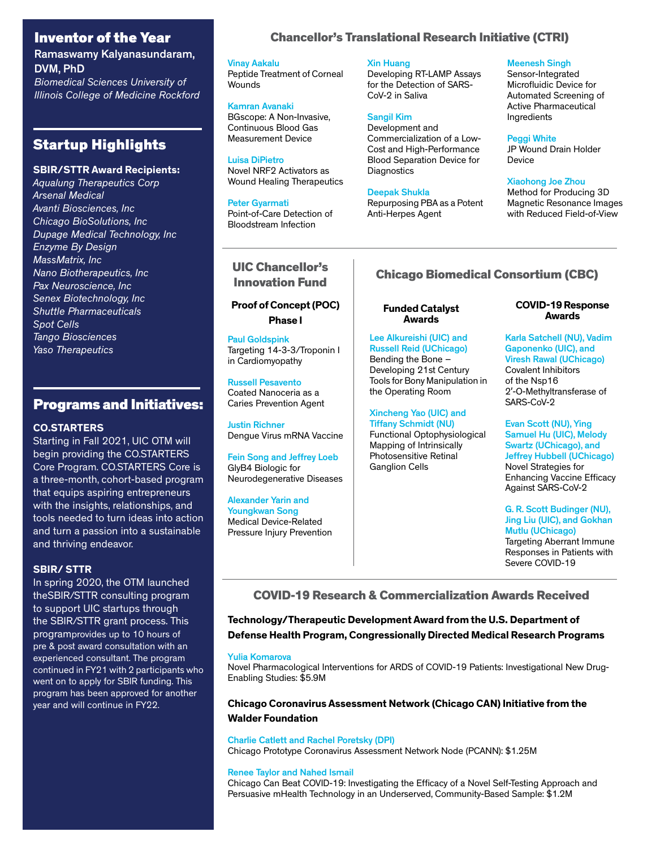### Inventor of the Year

Ramaswamy Kalyanasundaram, DVM, PhD

*Biomedical Sciences University of Illinois College of Medicine Rockford*

## Startup Highlights

#### **SBIR/STTR Award Recipients:**

*Aqualung Therapeutics Corp Arsenal Medical Avanti Biosciences, Inc Chicago BioSolutions, Inc Dupage Medical Technology, Inc Enzyme By Design MassMatrix, Inc Nano Biotherapeutics, Inc Pax Neuroscience, Inc Senex Biotechnology, Inc Shuttle Pharmaceuticals Spot Cells Tango Biosciences Yaso Therapeutics*

### Programs and Initiatives:

#### **CO.STARTERS**

Starting in Fall 2021, UIC OTM will begin providing the CO.STARTERS Core Program. CO.STARTERS Core is a three-month, cohort-based program that equips aspiring entrepreneurs with the insights, relationships, and tools needed to turn ideas into action and turn a passion into a sustainable and thriving endeavor.

#### **SBIR/ STTR**

In spring 2020, the OTM launched theSBIR/STTR consulting program to support UIC startups through the SBIR/STTR grant process. This programprovides up to 10 hours of pre & post award consultation with an experienced consultant. The program continued in FY21 with 2 participants who went on to apply for SBIR funding. This program has been approved for another year and will continue in FY22.

### Chancellor's Translational Research Initiative (CTRI)

Vinay Aakalu Peptide Treatment of Corneal Wounds

Kamran Avanaki BGscope: A Non-Invasive, Continuous Blood Gas Measurement Device

Luisa DiPietro Novel NRF2 Activators as Wound Healing Therapeutics

Peter Gyarmati Point-of-Care Detection of Bloodstream Infection

# UIC Chancellor's

#### **Proof of Concept (POC) Phase I**

Paul Goldspink Targeting 14-3-3/Troponin I in Cardiomyopathy

Russell Pesavento Coated Nanoceria as a Caries Prevention Agent

Justin Richner Dengue Virus mRNA Vaccine

Fein Song and Jeffrey Loeb GlyB4 Biologic for Neurodegenerative Diseases

Alexander Yarin and Youngkwan Song Medical Device-Related Pressure Injury Prevention

#### Xin Huang

Developing RT-LAMP Assays for the Detection of SARS-CoV-2 in Saliva

#### Sangil Kim

Development and Commercialization of a Low-Cost and High-Performance Blood Separation Device for **Diagnostics** 

Deepak Shukla Repurposing PBA as a Potent Anti-Herpes Agent

#### Meenesh Singh

Sensor-Integrated Microfluidic Device for Automated Screening of Active Pharmaceutical Ingredients

#### Peggi White

JP Wound Drain Holder Device

#### Xiaohong Joe Zhou

Method for Producing 3D Magnetic Resonance Images with Reduced Field-of-View

## Innovation Fund Chicago Biomedical Consortium (CBC)

#### **Funded Catalyst Awards**

Lee Alkureishi (UIC) and Russell Reid (UChicago) Bending the Bone – Developing 21st Century Tools for Bony Manipulation in the Operating Room

Xincheng Yao (UIC) and Tiffany Schmidt (NU) Functional Optophysiological Mapping of Intrinsically Photosensitive Retinal Ganglion Cells

#### **COVID-19 Response Awards**

Karla Satchell (NU), Vadim Gaponenko (UIC), and Viresh Rawal (UChicago) Covalent Inhibitors of the Nsp16 2'-O-Methyltransferase of SARS-CoV-2

Evan Scott (NU), Ying Samuel Hu (UIC), Melody Swartz (UChicago), and Jeffrey Hubbell (UChicago) Novel Strategies for Enhancing Vaccine Efficacy Against SARS-CoV-2

G. R. Scott Budinger (NU), Jing Liu (UIC), and Gokhan Mutlu (UChicago) Targeting Aberrant Immune Responses in Patients with Severe COVID-19

COVID-19 Research & Commercialization Awards Received

**Technology/Therapeutic Development Award from the U.S. Department of Defense Health Program, Congressionally Directed Medical Research Programs** 

#### Yulia Komarova

Novel Pharmacological Interventions for ARDS of COVID-19 Patients: Investigational New Drug-Enabling Studies: \$5.9M

#### **Chicago Coronavirus Assessment Network (Chicago CAN) Initiative from the Walder Foundation**

#### Charlie Catlett and Rachel Poretsky (DPI)

Chicago Prototype Coronavirus Assessment Network Node (PCANN): \$1.25M

#### Renee Taylor and Nahed Ismail

Chicago Can Beat COVID-19: Investigating the Efficacy of a Novel Self-Testing Approach and Persuasive mHealth Technology in an Underserved, Community-Based Sample: \$1.2M